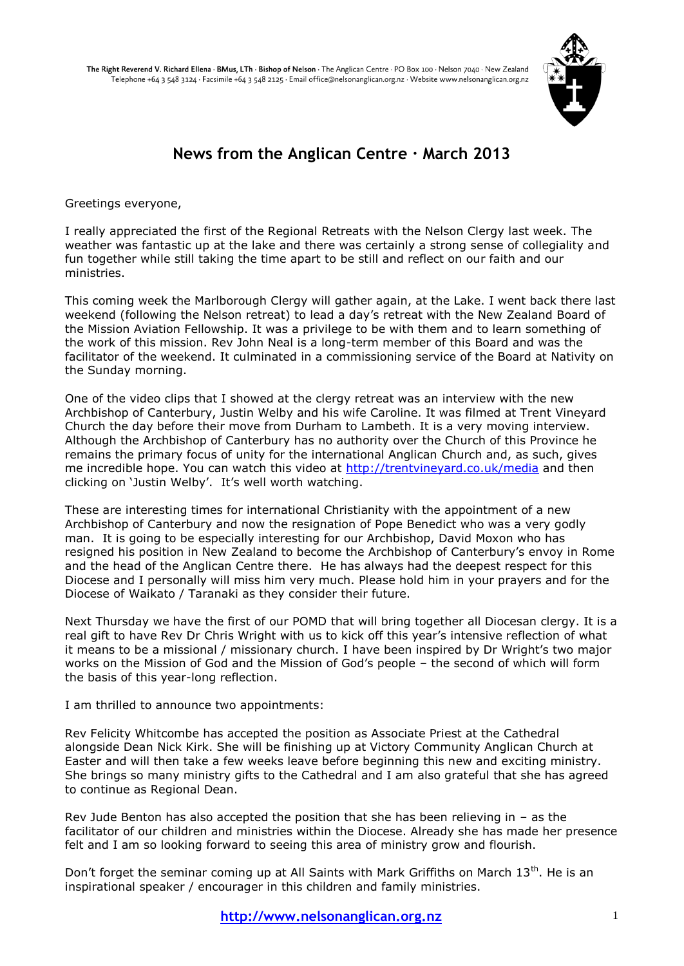

# **News from the Anglican Centre · March 2013**

Greetings everyone,

I really appreciated the first of the Regional Retreats with the Nelson Clergy last week. The weather was fantastic up at the lake and there was certainly a strong sense of collegiality and fun together while still taking the time apart to be still and reflect on our faith and our ministries.

This coming week the Marlborough Clergy will gather again, at the Lake. I went back there last weekend (following the Nelson retreat) to lead a day"s retreat with the New Zealand Board of the Mission Aviation Fellowship. It was a privilege to be with them and to learn something of the work of this mission. Rev John Neal is a long-term member of this Board and was the facilitator of the weekend. It culminated in a commissioning service of the Board at Nativity on the Sunday morning.

One of the video clips that I showed at the clergy retreat was an interview with the new Archbishop of Canterbury, Justin Welby and his wife Caroline. It was filmed at Trent Vineyard Church the day before their move from Durham to Lambeth. It is a very moving interview. Although the Archbishop of Canterbury has no authority over the Church of this Province he remains the primary focus of unity for the international Anglican Church and, as such, gives me incredible hope. You can watch this video at<http://trentvineyard.co.uk/media> and then clicking on 'Justin Welby'. It's well worth watching.

These are interesting times for international Christianity with the appointment of a new Archbishop of Canterbury and now the resignation of Pope Benedict who was a very godly man. It is going to be especially interesting for our Archbishop, David Moxon who has resigned his position in New Zealand to become the Archbishop of Canterbury"s envoy in Rome and the head of the Anglican Centre there. He has always had the deepest respect for this Diocese and I personally will miss him very much. Please hold him in your prayers and for the Diocese of Waikato / Taranaki as they consider their future.

Next Thursday we have the first of our POMD that will bring together all Diocesan clergy. It is a real gift to have Rev Dr Chris Wright with us to kick off this year's intensive reflection of what it means to be a missional / missionary church. I have been inspired by Dr Wright's two major works on the Mission of God and the Mission of God"s people – the second of which will form the basis of this year-long reflection.

I am thrilled to announce two appointments:

Rev Felicity Whitcombe has accepted the position as Associate Priest at the Cathedral alongside Dean Nick Kirk. She will be finishing up at Victory Community Anglican Church at Easter and will then take a few weeks leave before beginning this new and exciting ministry. She brings so many ministry gifts to the Cathedral and I am also grateful that she has agreed to continue as Regional Dean.

Rev Jude Benton has also accepted the position that she has been relieving in – as the facilitator of our children and ministries within the Diocese. Already she has made her presence felt and I am so looking forward to seeing this area of ministry grow and flourish.

Don't forget the seminar coming up at All Saints with Mark Griffiths on March 13<sup>th</sup>. He is an inspirational speaker / encourager in this children and family ministries.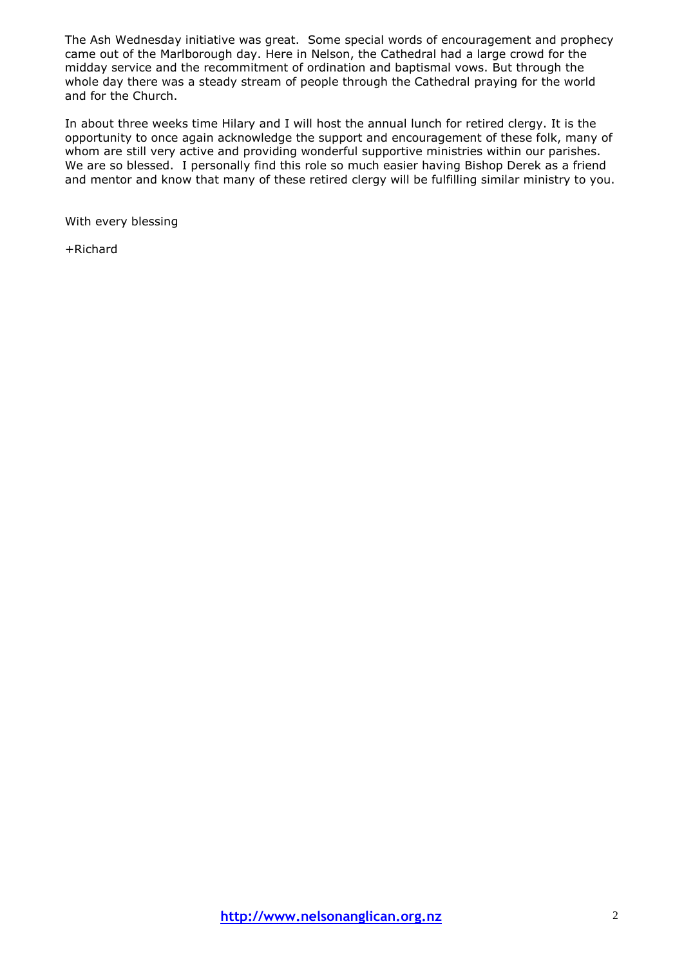The Ash Wednesday initiative was great. Some special words of encouragement and prophecy came out of the Marlborough day. Here in Nelson, the Cathedral had a large crowd for the midday service and the recommitment of ordination and baptismal vows. But through the whole day there was a steady stream of people through the Cathedral praying for the world and for the Church.

In about three weeks time Hilary and I will host the annual lunch for retired clergy. It is the opportunity to once again acknowledge the support and encouragement of these folk, many of whom are still very active and providing wonderful supportive ministries within our parishes. We are so blessed. I personally find this role so much easier having Bishop Derek as a friend and mentor and know that many of these retired clergy will be fulfilling similar ministry to you.

With every blessing

+Richard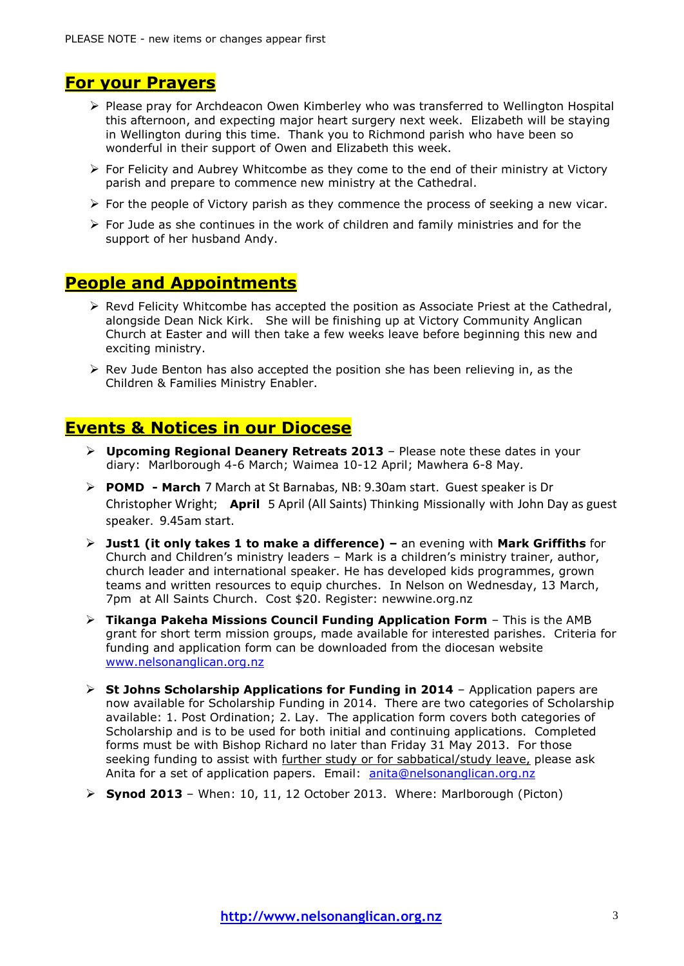## **For your Prayers**

- Please pray for Archdeacon Owen Kimberley who was transferred to Wellington Hospital this afternoon, and expecting major heart surgery next week. Elizabeth will be staying in Wellington during this time. Thank you to Richmond parish who have been so wonderful in their support of Owen and Elizabeth this week.
- $\triangleright$  For Felicity and Aubrey Whitcombe as they come to the end of their ministry at Victory parish and prepare to commence new ministry at the Cathedral.
- $\triangleright$  For the people of Victory parish as they commence the process of seeking a new vicar.
- $\triangleright$  For Jude as she continues in the work of children and family ministries and for the support of her husband Andy.

## **People and Appointments**

- $\triangleright$  Revd Felicity Whitcombe has accepted the position as Associate Priest at the Cathedral, alongside Dean Nick Kirk. She will be finishing up at Victory Community Anglican Church at Easter and will then take a few weeks leave before beginning this new and exciting ministry.
- $\triangleright$  Rev Jude Benton has also accepted the position she has been relieving in, as the Children & Families Ministry Enabler.

## **Events & Notices in our Diocese**

- **Upcoming Regional Deanery Retreats 2013**  Please note these dates in your diary: Marlborough 4-6 March; Waimea 10-12 April; Mawhera 6-8 May*.*
- **POMD - March** 7 March at St Barnabas, NB: 9.30am start. Guest speaker is Dr Christopher Wright; **April** 5 April (All Saints) Thinking Missionally with John Day as guest speaker. 9.45am start.
- **Just1 (it only takes 1 to make a difference) –** an evening with **Mark Griffiths** for Church and Children"s ministry leaders – Mark is a children"s ministry trainer, author, church leader and international speaker. He has developed kids programmes, grown teams and written resources to equip churches. In Nelson on Wednesday, 13 March, 7pm at All Saints Church. Cost \$20. Register: newwine.org.nz
- **Tikanga Pakeha Missions Council Funding Application Form** This is the AMB grant for short term mission groups, made available for interested parishes. Criteria for funding and application form can be downloaded from the diocesan website [www.nelsonanglican.org.nz](http://www.nelsonanglican.org.nz/)
- **► St Johns Scholarship Applications for Funding in 2014** Application papers are now available for Scholarship Funding in 2014. There are two categories of Scholarship available: 1. Post Ordination; 2. Lay. The application form covers both categories of Scholarship and is to be used for both initial and continuing applications. Completed forms must be with Bishop Richard no later than Friday 31 May 2013. For those seeking funding to assist with further study or for sabbatical/study leave, please ask Anita for a set of application papers. Email: [anita@nelsonanglican.org.nz](mailto:anita@nelsonanglican.org.nz)
- **Synod 2013** When: 10, 11, 12 October 2013. Where: Marlborough (Picton)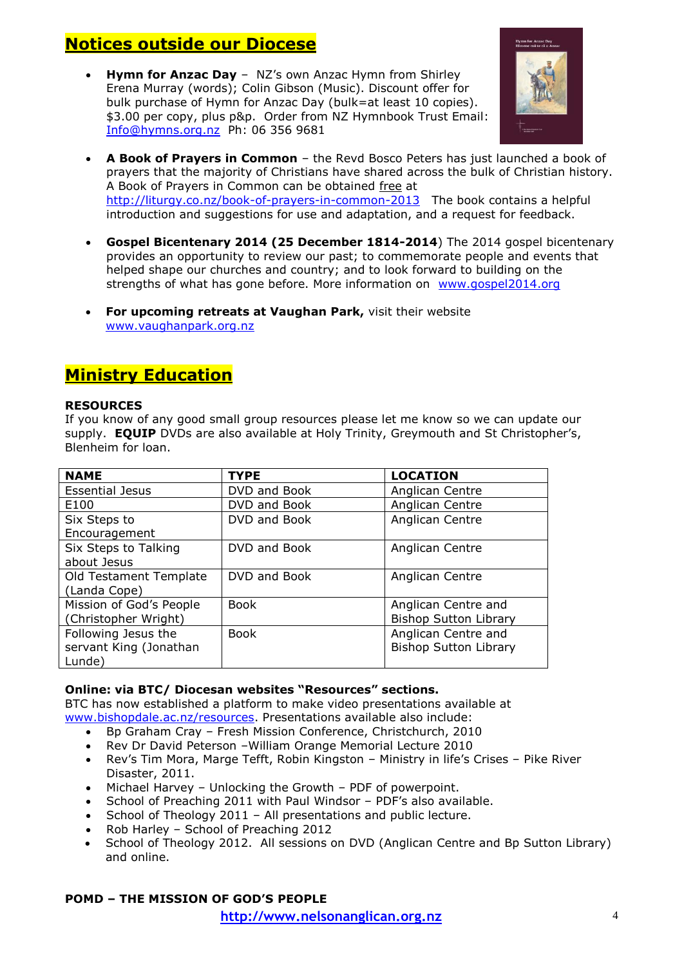# **Notices outside our Diocese**

**Hymn for Anzac Day** – NZ's own Anzac Hymn from Shirley Erena Murray (words); Colin Gibson (Music). Discount offer for bulk purchase of Hymn for Anzac Day (bulk=at least 10 copies). \$3.00 per copy, plus p&p. Order from NZ Hymnbook Trust Email: [Info@hymns.org.nz](mailto:Info@hymns.org.nz) Ph: 06 356 9681



- **A Book of Prayers in Common** the Revd Bosco Peters has just launched a book of prayers that the majority of Christians have shared across the bulk of Christian history. A Book of Prayers in Common can be obtained free at <http://liturgy.co.nz/book-of-prayers-in-common-2013>The book contains a helpful introduction and suggestions for use and adaptation, and a request for feedback.
- **Gospel Bicentenary 2014 (25 December 1814-2014**) The 2014 gospel bicentenary provides an opportunity to review our past; to commemorate people and events that helped shape our churches and country; and to look forward to building on the strengths of what has gone before. More information on [www.gospel2014.org](http://www.gospel2014.org/)
- **For upcoming retreats at Vaughan Park,** visit their website [www.vaughanpark.org.nz](http://www.vaughanpark.org.nz/)

# **Ministry Education**

#### **RESOURCES**

If you know of any good small group resources please let me know so we can update our supply. **EQUIP** DVDs are also available at Holy Trinity, Greymouth and St Christopher's, Blenheim for loan.

| <b>NAME</b>             | <b>TYPE</b>  | <b>LOCATION</b>              |
|-------------------------|--------------|------------------------------|
| <b>Essential Jesus</b>  | DVD and Book | Anglican Centre              |
| E100                    | DVD and Book | Anglican Centre              |
| Six Steps to            | DVD and Book | Anglican Centre              |
| Encouragement           |              |                              |
| Six Steps to Talking    | DVD and Book | Anglican Centre              |
| about Jesus             |              |                              |
| Old Testament Template  | DVD and Book | Anglican Centre              |
| (Landa Cope)            |              |                              |
| Mission of God's People | <b>Book</b>  | Anglican Centre and          |
| (Christopher Wright)    |              | <b>Bishop Sutton Library</b> |
| Following Jesus the     | <b>Book</b>  | Anglican Centre and          |
| servant King (Jonathan  |              | <b>Bishop Sutton Library</b> |
| Lunde)                  |              |                              |

#### **Online: via BTC/ Diocesan websites "Resources" sections.**

BTC has now established a platform to make video presentations available at [www.bishopdale.ac.nz/resources.](http://www.bishopdale.ac.nz/resources) Presentations available also include:

- Bp Graham Cray Fresh Mission Conference, Christchurch, 2010
- Rev Dr David Peterson William Orange Memorial Lecture 2010
- Rev's Tim Mora, Marge Tefft, Robin Kingston Ministry in life's Crises Pike River Disaster, 2011.
- Michael Harvey Unlocking the Growth PDF of powerpoint.
- School of Preaching 2011 with Paul Windsor PDF"s also available.
- School of Theology 2011 All presentations and public lecture.
- Rob Harley School of Preaching 2012
- School of Theology 2012. All sessions on DVD (Anglican Centre and Bp Sutton Library) and online.

#### **POMD – THE MISSION OF GOD'S PEOPLE**

**http://www.nelsonanglican.org.nz** 4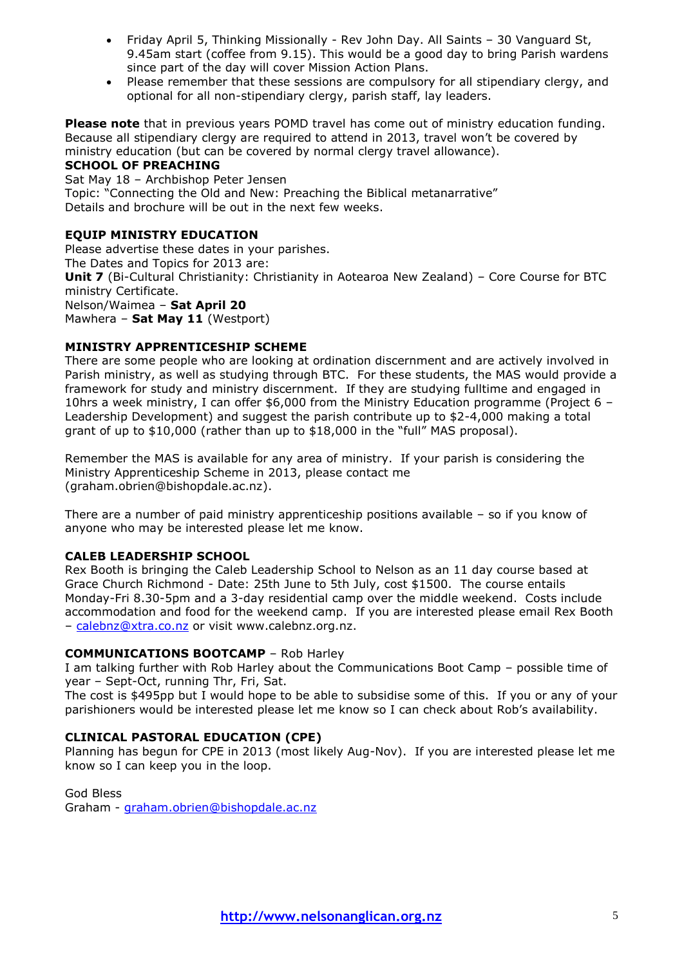- Friday April 5, Thinking Missionally Rev John Day. All Saints 30 Vanguard St, 9.45am start (coffee from 9.15). This would be a good day to bring Parish wardens since part of the day will cover Mission Action Plans.
- Please remember that these sessions are compulsory for all stipendiary clergy, and optional for all non-stipendiary clergy, parish staff, lay leaders.

**Please note** that in previous years POMD travel has come out of ministry education funding. Because all stipendiary clergy are required to attend in 2013, travel won"t be covered by ministry education (but can be covered by normal clergy travel allowance).

#### **SCHOOL OF PREACHING**

Sat May 18 – Archbishop Peter Jensen Topic: "Connecting the Old and New: Preaching the Biblical metanarrative" Details and brochure will be out in the next few weeks.

#### **EQUIP MINISTRY EDUCATION**

Please advertise these dates in your parishes. The Dates and Topics for 2013 are: **Unit 7** (Bi-Cultural Christianity: Christianity in Aotearoa New Zealand) – Core Course for BTC ministry Certificate. Nelson/Waimea – **Sat April 20** Mawhera – **Sat May 11** (Westport)

### **MINISTRY APPRENTICESHIP SCHEME**

There are some people who are looking at ordination discernment and are actively involved in Parish ministry, as well as studying through BTC. For these students, the MAS would provide a framework for study and ministry discernment. If they are studying fulltime and engaged in 10hrs a week ministry, I can offer \$6,000 from the Ministry Education programme (Project 6 – Leadership Development) and suggest the parish contribute up to \$2-4,000 making a total grant of up to \$10,000 (rather than up to \$18,000 in the "full" MAS proposal).

Remember the MAS is available for any area of ministry. If your parish is considering the Ministry Apprenticeship Scheme in 2013, please contact me (graham.obrien@bishopdale.ac.nz).

There are a number of paid ministry apprenticeship positions available – so if you know of anyone who may be interested please let me know.

#### **CALEB LEADERSHIP SCHOOL**

Rex Booth is bringing the Caleb Leadership School to Nelson as an 11 day course based at Grace Church Richmond - Date: 25th June to 5th July, cost \$1500. The course entails Monday-Fri 8.30-5pm and a 3-day residential camp over the middle weekend. Costs include accommodation and food for the weekend camp. If you are interested please email Rex Booth - [calebnz@xtra.co.nz](mailto:calebnz@xtra.co.nz) or visit www.calebnz.org.nz.

#### **COMMUNICATIONS BOOTCAMP** – Rob Harley

I am talking further with Rob Harley about the Communications Boot Camp – possible time of year – Sept-Oct, running Thr, Fri, Sat.

The cost is \$495pp but I would hope to be able to subsidise some of this. If you or any of your parishioners would be interested please let me know so I can check about Rob's availability.

#### **CLINICAL PASTORAL EDUCATION (CPE)**

Planning has begun for CPE in 2013 (most likely Aug-Nov). If you are interested please let me know so I can keep you in the loop.

God Bless

Graham - [graham.obrien@bishopdale.ac.nz](mailto:graham.obrien@bishopdale.ac.nz)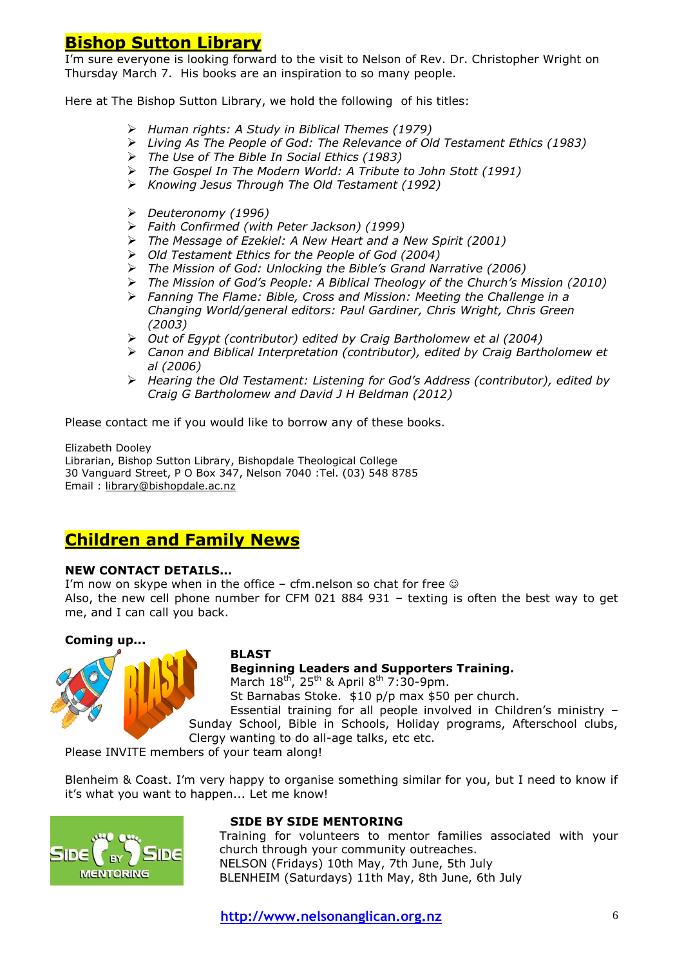## **Bishop Sutton Library**

I'm sure everyone is looking forward to the visit to Nelson of Rev. Dr. Christopher Wright on Thursday March 7. His books are an inspiration to so many people.

Here at The Bishop Sutton Library, we hold the following of his titles:

- *Human rights: A Study in Biblical Themes (1979)*
- *Living As The People of God: The Relevance of Old Testament Ethics (1983)*
- *The Use of The Bible In Social Ethics (1983)*
- *The Gospel In The Modern World: A Tribute to John Stott (1991)*
- *Knowing Jesus Through The Old Testament (1992)*
- *Deuteronomy (1996)*
- *Faith Confirmed (with Peter Jackson) (1999)*
- *The Message of Ezekiel: A New Heart and a New Spirit (2001)*
- *Old Testament Ethics for the People of God (2004)*
- *The Mission of God: Unlocking the Bible's Grand Narrative (2006)*
- *The Mission of God's People: A Biblical Theology of the Church's Mission (2010)*
- *Fanning The Flame: Bible, Cross and Mission: Meeting the Challenge in a Changing World/general editors: Paul Gardiner, Chris Wright, Chris Green (2003)*
- *Out of Egypt (contributor) edited by Craig Bartholomew et al (2004)*
- *Canon and Biblical Interpretation (contributor), edited by Craig Bartholomew et al (2006)*
- *Hearing the Old Testament: Listening for God's Address (contributor), edited by Craig G Bartholomew and David J H Beldman (2012)*

Please contact me if you would like to borrow any of these books.

Elizabeth Dooley Librarian, Bishop Sutton Library, Bishopdale Theological College 30 Vanguard Street, P O Box 347, Nelson 7040 :Tel. (03) 548 8785 Email : [library@bishopdale.ac.nz](mailto:library@bishopdale.ac.nz)

## **Children and Family News**

#### **NEW CONTACT DETAILS...**

I'm now on skype when in the office – cfm.nelson so chat for free  $\odot$ Also, the new cell phone number for CFM 021 884 931 – texting is often the best way to get me, and I can call you back.

#### **Coming up...**



#### **BLAST**

**Beginning Leaders and Supporters Training.**

March  $18^{th}$ ,  $25^{th}$  & April  $8^{th}$  7:30-9pm.

St Barnabas Stoke. \$10 p/p max \$50 per church.

Essential training for all people involved in Children's ministry -Sunday School, Bible in Schools, Holiday programs, Afterschool clubs, Clergy wanting to do all-age talks, etc etc.

Please INVITE members of your team along!

Blenheim & Coast. I"m very happy to organise something similar for you, but I need to know if it's what you want to happen... Let me know!



#### **SIDE BY SIDE MENTORING**

Training for volunteers to mentor families associated with your church through your community outreaches. NELSON (Fridays) 10th May, 7th June, 5th July BLENHEIM (Saturdays) 11th May, 8th June, 6th July

**http://www.nelsonanglican.org.nz** 6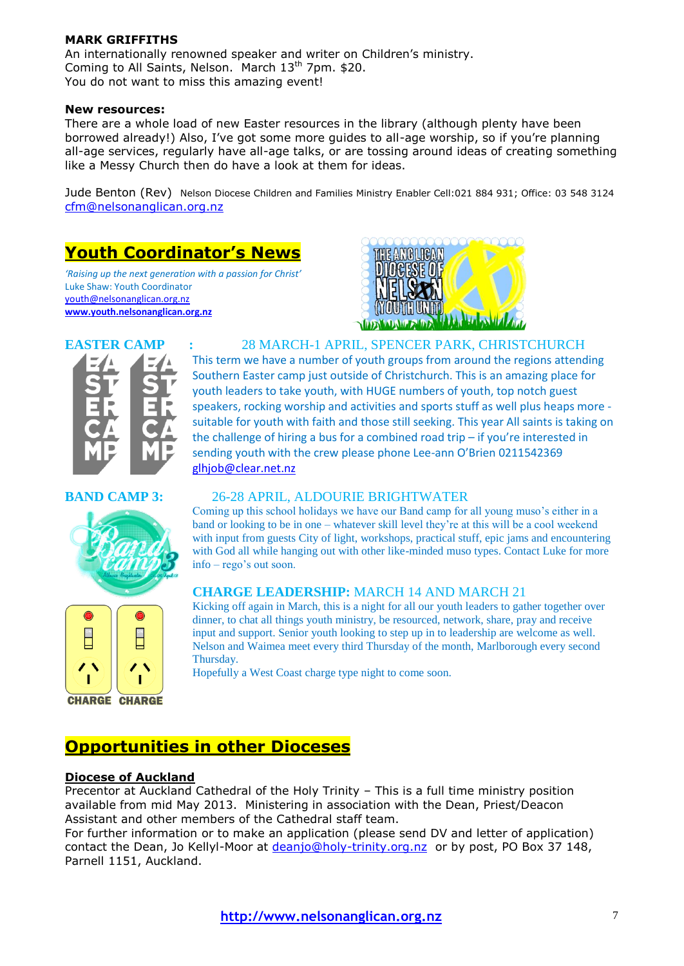#### **MARK GRIFFITHS**

An internationally renowned speaker and writer on Children"s ministry. Coming to All Saints, Nelson. March  $13<sup>th</sup>$  7pm. \$20. You do not want to miss this amazing event!

#### **New resources:**

There are a whole load of new Easter resources in the library (although plenty have been borrowed already!) Also, I"ve got some more guides to all-age worship, so if you"re planning all-age services, regularly have all-age talks, or are tossing around ideas of creating something like a Messy Church then do have a look at them for ideas.

Jude Benton (Rev) Nelson Diocese Children and Families Ministry Enabler Cell:021 884 931; Office: 03 548 3124 [cfm@nelsonanglican.org.nz](mailto:cfm@nelsonanglican.org.nz)

# **Youth Coordinator's News**

*'Raising up the next generation with a passion for Christ'* Luke Shaw: Youth Coordinator [youth@nelsonanglican.org.nz](mailto:youth@nelsonanglican.org.nz) **[www.youth.nelsonanglican.org.nz](http://www.youth.nelsonanglican.org.nz/)**





**EASTER CAMP :** 28 MARCH-1 APRIL, SPENCER PARK, CHRISTCHURCH This term we have a number of youth groups from around the regions attending Southern Easter camp just outside of Christchurch. This is an amazing place for youth leaders to take youth, with HUGE numbers of youth, top notch guest speakers, rocking worship and activities and sports stuff as well plus heaps more suitable for youth with faith and those still seeking. This year All saints is taking on the challenge of hiring a bus for a combined road trip – if you're interested in sending youth with the crew please phone Lee-ann O'Brien 0211542369 [glhjob@clear.net.nz](mailto:glhjob@clear.net.nz)

#### **BAND CAMP 3:** 26-28 APRIL, ALDOURIE BRIGHTWATER

Coming up this school holidays we have our Band camp for all young muso's either in a band or looking to be in one – whatever skill level they're at this will be a cool weekend with input from guests City of light, workshops, practical stuff, epic jams and encountering with God all while hanging out with other like-minded muso types. Contact Luke for more info – rego's out soon.

#### **CHARGE LEADERSHIP:** MARCH 14 AND MARCH 21

Kicking off again in March, this is a night for all our youth leaders to gather together over dinner, to chat all things youth ministry, be resourced, network, share, pray and receive input and support. Senior youth looking to step up in to leadership are welcome as well. Nelson and Waimea meet every third Thursday of the month, Marlborough every second Thursday.

Hopefully a West Coast charge type night to come soon.

## **Opportunities in other Dioceses**

#### **Diocese of Auckland**

Precentor at Auckland Cathedral of the Holy Trinity – This is a full time ministry position available from mid May 2013. Ministering in association with the Dean, Priest/Deacon Assistant and other members of the Cathedral staff team.

For further information or to make an application (please send DV and letter of application) contact the Dean, Jo Kellyl-Moor at [deanjo@holy-trinity.org.nz](mailto:deanjo@holy-trinity.org.nz) or by post, PO Box 37 148. Parnell 1151, Auckland.

 $\frac{1}{\sqrt{2}}$  $\begin{array}{c} \circ \\ \hline \end{array}$ 

**CHARGE CHARGE**